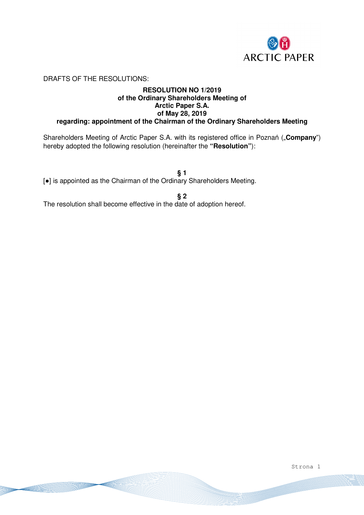

DRAFTS OF THE RESOLUTIONS:

### **RESOLUTION NO 1/2019 of the Ordinary Shareholders Meeting of Arctic Paper S.A. of May 28, 2019 regarding: appointment of the Chairman of the Ordinary Shareholders Meeting**

Shareholders Meeting of Arctic Paper S.A. with its registered office in Poznań ("**Company**") hereby adopted the following resolution (hereinafter the **"Resolution"**):

**§ 1**  [●] is appointed as the Chairman of the Ordinary Shareholders Meeting.

**§ 2** 

The resolution shall become effective in the date of adoption hereof.

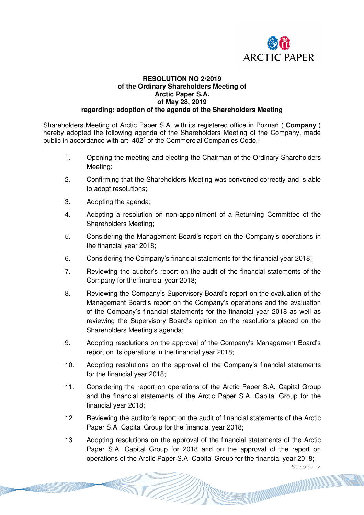

### **RESOLUTION NO 2/2019 of the Ordinary Shareholders Meeting of Arctic Paper S.A. of May 28, 2019 regarding: adoption of the agenda of the Shareholders Meeting**

Shareholders Meeting of Arctic Paper S.A. with its registered office in Poznań ("**Company**") hereby adopted the following agenda of the Shareholders Meeting of the Company, made public in accordance with art. 402<sup>2</sup> of the Commercial Companies Code,:

- 1. Opening the meeting and electing the Chairman of the Ordinary Shareholders Meeting;
- 2. Confirming that the Shareholders Meeting was convened correctly and is able to adopt resolutions;
- 3. Adopting the agenda;
- 4. Adopting a resolution on non-appointment of a Returning Committee of the Shareholders Meeting;
- 5. Considering the Management Board's report on the Company's operations in the financial year 2018;
- 6. Considering the Company's financial statements for the financial year 2018;
- 7. Reviewing the auditor's report on the audit of the financial statements of the Company for the financial year 2018;
- 8. Reviewing the Company's Supervisory Board's report on the evaluation of the Management Board's report on the Company's operations and the evaluation of the Company's financial statements for the financial year 2018 as well as reviewing the Supervisory Board's opinion on the resolutions placed on the Shareholders Meeting's agenda;
- 9. Adopting resolutions on the approval of the Company's Management Board's report on its operations in the financial year 2018;
- 10. Adopting resolutions on the approval of the Company's financial statements for the financial year 2018;
- 11. Considering the report on operations of the Arctic Paper S.A. Capital Group and the financial statements of the Arctic Paper S.A. Capital Group for the financial year 2018;
- 12. Reviewing the auditor's report on the audit of financial statements of the Arctic Paper S.A. Capital Group for the financial year 2018;
- 13. Adopting resolutions on the approval of the financial statements of the Arctic Paper S.A. Capital Group for 2018 and on the approval of the report on operations of the Arctic Paper S.A. Capital Group for the financial year 2018;

Strona 2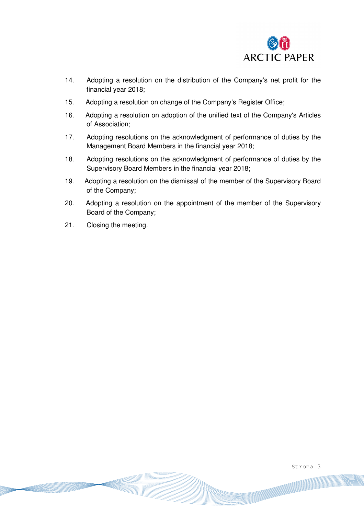

- 14. Adopting a resolution on the distribution of the Company's net profit for the financial year 2018;
- 15. Adopting a resolution on change of the Company's Register Office;
- 16. Adopting a resolution on adoption of the unified text of the Company's Articles of Association;
- 17. Adopting resolutions on the acknowledgment of performance of duties by the Management Board Members in the financial year 2018;
- 18. Adopting resolutions on the acknowledgment of performance of duties by the Supervisory Board Members in the financial year 2018;
- 19. Adopting a resolution on the dismissal of the member of the Supervisory Board of the Company;
- 20. Adopting a resolution on the appointment of the member of the Supervisory Board of the Company;
- 21. Closing the meeting.

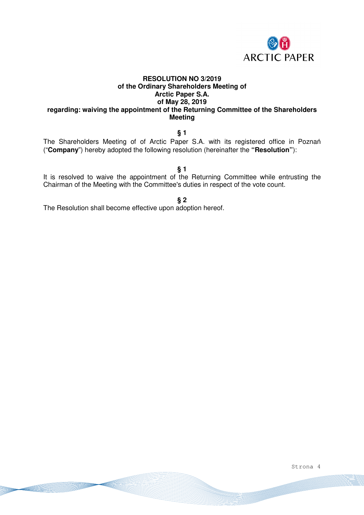

### **RESOLUTION NO 3/2019 of the Ordinary Shareholders Meeting of Arctic Paper S.A. of May 28, 2019 regarding: waiving the appointment of the Returning Committee of the Shareholders Meeting**

## **§ 1**

The Shareholders Meeting of of Arctic Paper S.A. with its registered office in Poznań ("**Company**") hereby adopted the following resolution (hereinafter the **"Resolution"**):

#### **§ 1**

It is resolved to waive the appointment of the Returning Committee while entrusting the Chairman of the Meeting with the Committee's duties in respect of the vote count.

## **§ 2**

The Resolution shall become effective upon adoption hereof.

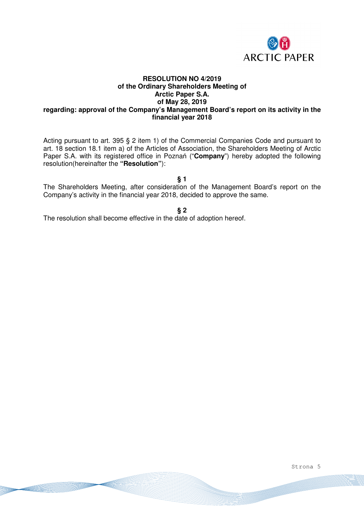

## **RESOLUTION NO 4/2019 of the Ordinary Shareholders Meeting of Arctic Paper S.A. of May 28, 2019 regarding: approval of the Company's Management Board's report on its activity in the financial year 2018**

Acting pursuant to art. 395 § 2 item 1) of the Commercial Companies Code and pursuant to art. 18 section 18.1 item a) of the Articles of Association, the Shareholders Meeting of Arctic Paper S.A. with its registered office in Poznań ("**Company**") hereby adopted the following resolution(hereinafter the **"Resolution"**):

**§ 1** 

The Shareholders Meeting, after consideration of the Management Board's report on the Company's activity in the financial year 2018, decided to approve the same.

**§ 2** 

The resolution shall become effective in the date of adoption hereof.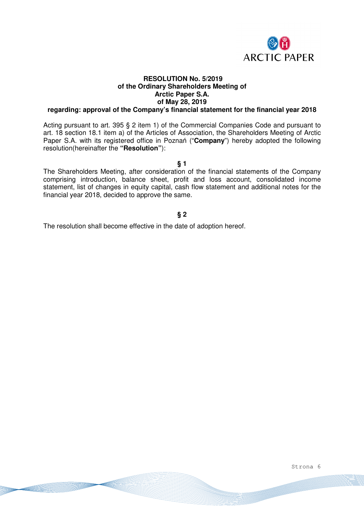

# **RESOLUTION No. 5/2019 of the Ordinary Shareholders Meeting of Arctic Paper S.A. of May 28, 2019**

### **regarding: approval of the Company's financial statement for the financial year 2018**

Acting pursuant to art. 395 § 2 item 1) of the Commercial Companies Code and pursuant to art. 18 section 18.1 item a) of the Articles of Association, the Shareholders Meeting of Arctic Paper S.A. with its registered office in Poznań ("**Company**") hereby adopted the following resolution(hereinafter the **"Resolution"**):

**§ 1** 

The Shareholders Meeting, after consideration of the financial statements of the Company comprising introduction, balance sheet, profit and loss account, consolidated income statement, list of changes in equity capital, cash flow statement and additional notes for the financial year 2018, decided to approve the same.

# **§ 2**

The resolution shall become effective in the date of adoption hereof.

Strona 6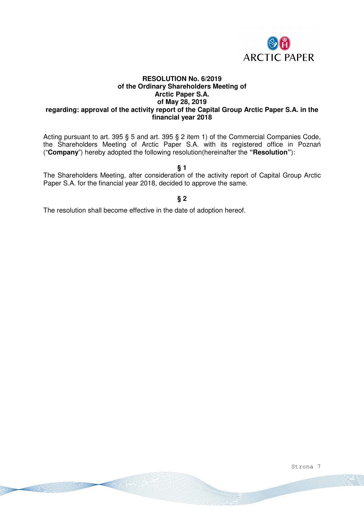

### **RESOLUTION No. 6/2019 of the Ordinary Shareholders Meeting of Arctic Paper S.A. of May 28, 2019 regarding: approval of the activity report of the Capital Group Arctic Paper S.A. in the financial year 2018**

Acting pursuant to art. 395 § 5 and art. 395 § 2 item 1) of the Commercial Companies Code, the Shareholders Meeting of Arctic Paper S.A. with its registered office in Poznań ("**Company**") hereby adopted the following resolution(hereinafter the **"Resolution"**):

### **§ 1**

The Shareholders Meeting, after consideration of the activity report of Capital Group Arctic Paper S.A. for the financial year 2018, decided to approve the same.

### **§ 2**

The resolution shall become effective in the date of adoption hereof.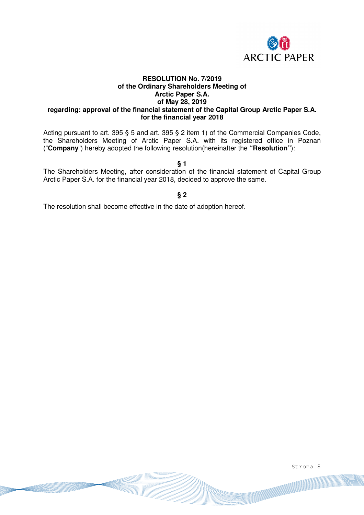

### **RESOLUTION No. 7/2019 of the Ordinary Shareholders Meeting of Arctic Paper S.A. of May 28, 2019 regarding: approval of the financial statement of the Capital Group Arctic Paper S.A. for the financial year 2018**

Acting pursuant to art. 395 § 5 and art. 395 § 2 item 1) of the Commercial Companies Code, the Shareholders Meeting of Arctic Paper S.A. with its registered office in Poznań ("**Company**") hereby adopted the following resolution(hereinafter the **"Resolution"**):

**§ 1** 

The Shareholders Meeting, after consideration of the financial statement of Capital Group Arctic Paper S.A. for the financial year 2018, decided to approve the same.

### **§ 2**

The resolution shall become effective in the date of adoption hereof.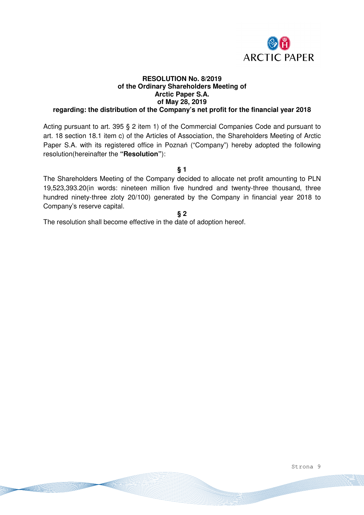

### **RESOLUTION No. 8/2019 of the Ordinary Shareholders Meeting of Arctic Paper S.A. of May 28, 2019 regarding: the distribution of the Company's net profit for the financial year 2018**

Acting pursuant to art. 395 § 2 item 1) of the Commercial Companies Code and pursuant to art. 18 section 18.1 item c) of the Articles of Association, the Shareholders Meeting of Arctic Paper S.A. with its registered office in Poznań ("Company") hereby adopted the following resolution(hereinafter the **"Resolution"**):

**§ 1** 

The Shareholders Meeting of the Company decided to allocate net profit amounting to PLN 19,523,393.20(in words: nineteen million five hundred and twenty-three thousand, three hundred ninety-three zloty 20/100) generated by the Company in financial year 2018 to Company's reserve capital.

**§ 2** 

The resolution shall become effective in the date of adoption hereof.

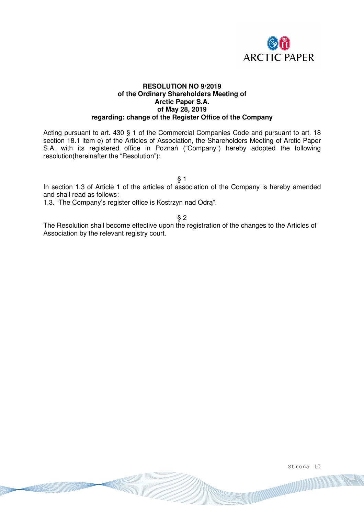

### **RESOLUTION NO 9/2019 of the Ordinary Shareholders Meeting of Arctic Paper S.A. of May 28, 2019 regarding: change of the Register Office of the Company**

Acting pursuant to art. 430 § 1 of the Commercial Companies Code and pursuant to art. 18 section 18.1 item e) of the Articles of Association, the Shareholders Meeting of Arctic Paper S.A. with its registered office in Poznań ("Company") hereby adopted the following resolution(hereinafter the "Resolution"):

§ 1

In section 1.3 of Article 1 of the articles of association of the Company is hereby amended and shall read as follows:

1.3. "The Company's register office is Kostrzyn nad Odrą".

§ 2

The Resolution shall become effective upon the registration of the changes to the Articles of Association by the relevant registry court.

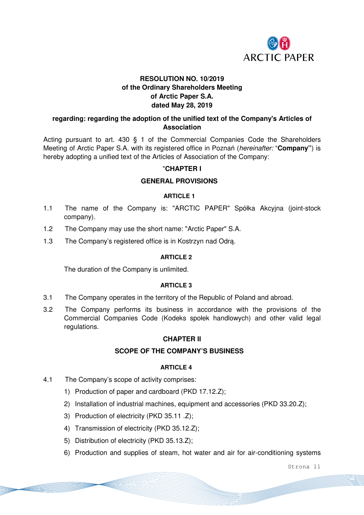

# **RESOLUTION NO. 10/2019 of the Ordinary Shareholders Meeting of Arctic Paper S.A. dated May 28, 2019**

# **regarding: regarding the adoption of the unified text of the Company's Articles of Association**

Acting pursuant to art. 430 § 1 of the Commercial Companies Code the Shareholders Meeting of Arctic Paper S.A. with its registered office in Poznań (*hereinafter:* "**Company"**) is hereby adopting a unified text of the Articles of Association of the Company:

# "**CHAPTER I**

# **GENERAL PROVISIONS**

# **ARTICLE 1**

- 1.1 The name of the Company is: "ARCTIC PAPER" Spółka Akcyjna (joint-stock company).
- 1.2 The Company may use the short name: "Arctic Paper" S.A.
- 1.3 The Company's registered office is in Kostrzyn nad Odrą.

## **ARTICLE 2**

The duration of the Company is unlimited.

## **ARTICLE 3**

- 3.1 The Company operates in the territory of the Republic of Poland and abroad.
- 3.2 The Company performs its business in accordance with the provisions of the Commercial Companies Code (Kodeks społek handlowych) and other valid legal regulations.

# **CHAPTER II**

## **SCOPE OF THE COMPANY'S BUSINESS**

## **ARTICLE 4**

- 4.1 The Company's scope of activity comprises:
	- 1) Production of paper and cardboard (PKD 17.12.Z);
	- 2) Installation of industrial machines, equipment and accessories (PKD 33.20.Z);
	- 3) Production of electricity (PKD 35.11 .Z);
	- 4) Transmission of electricity (PKD 35.12.Z);
	- 5) Distribution of electricity (PKD 35.13.Z);
	- 6) Production and supplies of steam, hot water and air for air-conditioning systems

Strona 11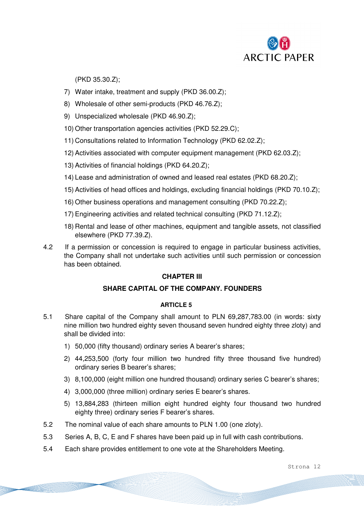

(PKD 35.30.Z);

- 7) Water intake, treatment and supply (PKD 36.00.Z);
- 8) Wholesale of other semi-products (PKD 46.76.Z);
- 9) Unspecialized wholesale (PKD 46.90.Z);
- 10) Other transportation agencies activities (PKD 52.29.C);
- 11) Consultations related to Information Technology (PKD 62.02.Z);
- 12) Activities associated with computer equipment management (PKD 62.03.Z);
- 13) Activities of financial holdings (PKD 64.20.Z);
- 14) Lease and administration of owned and leased real estates (PKD 68.20.Z);
- 15) Activities of head offices and holdings, excluding financial holdings (PKD 70.10.Z);
- 16) Other business operations and management consulting (PKD 70.22.Z);
- 17) Engineering activities and related technical consulting (PKD 71.12.Z);
- 18) Rental and lease of other machines, equipment and tangible assets, not classified elsewhere (PKD 77.39.Z).
- 4.2 If a permission or concession is required to engage in particular business activities, the Company shall not undertake such activities until such permission or concession has been obtained.

# **CHAPTER III**

## **SHARE CAPITAL OF THE COMPANY. FOUNDERS**

## **ARTICLE 5**

- 5.1 Share capital of the Company shall amount to PLN 69,287,783.00 (in words: sixty nine million two hundred eighty seven thousand seven hundred eighty three zloty) and shall be divided into:
	- 1) 50,000 (fifty thousand) ordinary series A bearer's shares;
	- 2) 44,253,500 (forty four million two hundred fifty three thousand five hundred) ordinary series B bearer's shares;
	- 3) 8,100,000 (eight million one hundred thousand) ordinary series C bearer's shares;
	- 4) 3,000,000 (three million) ordinary series E bearer's shares.
	- 5) 13,884,283 (thirteen million eight hundred eighty four thousand two hundred eighty three) ordinary series F bearer's shares.
- 5.2 The nominal value of each share amounts to PLN 1.00 (one zloty).
- 5.3 Series A, B, C, E and F shares have been paid up in full with cash contributions.
- 5.4 Each share provides entitlement to one vote at the Shareholders Meeting.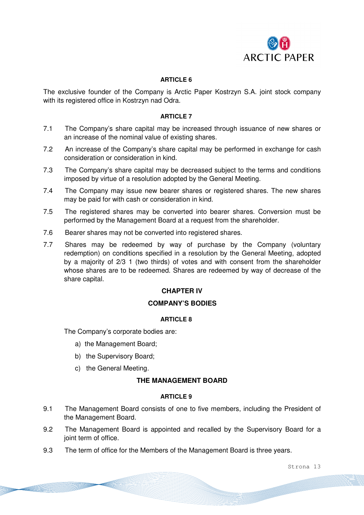

## **ARTICLE 6**

The exclusive founder of the Company is Arctic Paper Kostrzyn S.A. joint stock company with its registered office in Kostrzyn nad Odra.

#### **ARTICLE 7**

- 7.1 The Company's share capital may be increased through issuance of new shares or an increase of the nominal value of existing shares.
- 7.2 An increase of the Company's share capital may be performed in exchange for cash consideration or consideration in kind.
- 7.3 The Company's share capital may be decreased subject to the terms and conditions imposed by virtue of a resolution adopted by the General Meeting.
- 7.4 The Company may issue new bearer shares or registered shares. The new shares may be paid for with cash or consideration in kind.
- 7.5 The registered shares may be converted into bearer shares. Conversion must be performed by the Management Board at a request from the shareholder.
- 7.6 Bearer shares may not be converted into registered shares.
- 7.7 Shares may be redeemed by way of purchase by the Company (voluntary redemption) on conditions specified in a resolution by the General Meeting, adopted by a majority of 2/3 1 (two thirds) of votes and with consent from the shareholder whose shares are to be redeemed. Shares are redeemed by way of decrease of the share capital.

## **CHAPTER IV**

## **COMPANY'S BODIES**

### **ARTICLE 8**

The Company's corporate bodies are:

- a) the Management Board;
- b) the Supervisory Board;
- c) the General Meeting.

# **THE MANAGEMENT BOARD**

#### **ARTICLE 9**

- 9.1 The Management Board consists of one to five members, including the President of the Management Board.
- 9.2 The Management Board is appointed and recalled by the Supervisory Board for a joint term of office.
- 9.3 The term of office for the Members of the Management Board is three years.

Strona 13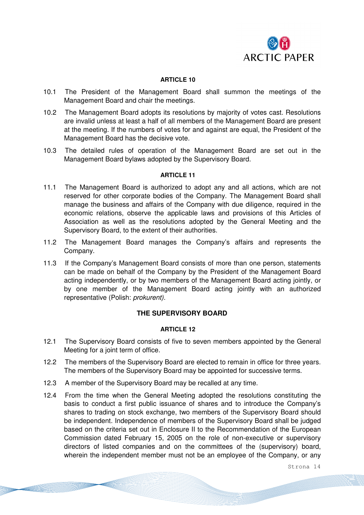

#### **ARTICLE 10**

- 10.1 The President of the Management Board shall summon the meetings of the Management Board and chair the meetings.
- 10.2 The Management Board adopts its resolutions by majority of votes cast. Resolutions are invalid unless at least a half of all members of the Management Board are present at the meeting. If the numbers of votes for and against are equal, the President of the Management Board has the decisive vote.
- 10.3 The detailed rules of operation of the Management Board are set out in the Management Board bylaws adopted by the Supervisory Board.

#### **ARTICLE 11**

- 11.1 The Management Board is authorized to adopt any and all actions, which are not reserved for other corporate bodies of the Company. The Management Board shall manage the business and affairs of the Company with due diligence, required in the economic relations, observe the applicable laws and provisions of this Articles of Association as well as the resolutions adopted by the General Meeting and the Supervisory Board, to the extent of their authorities.
- 11.2 The Management Board manages the Company's affairs and represents the Company.
- 11.3 If the Company's Management Board consists of more than one person, statements can be made on behalf of the Company by the President of the Management Board acting independently, or by two members of the Management Board acting jointly, or by one member of the Management Board acting jointly with an authorized representative (Polish: *prokurent).*

### **THE SUPERVISORY BOARD**

#### **ARTICLE 12**

- 12.1 The Supervisory Board consists of five to seven members appointed by the General Meeting for a joint term of office.
- 12.2 The members of the Supervisory Board are elected to remain in office for three years. The members of the Supervisory Board may be appointed for successive terms.
- 12.3 A member of the Supervisory Board may be recalled at any time.
- 12.4 From the time when the General Meeting adopted the resolutions constituting the basis to conduct a first public issuance of shares and to introduce the Company's shares to trading on stock exchange, two members of the Supervisory Board should be independent. Independence of members of the Supervisory Board shall be judged based on the criteria set out in Enclosure II to the Recommendation of the European Commission dated February 15, 2005 on the role of non-executive or supervisory directors of listed companies and on the committees of the (supervisory) board, wherein the independent member must not be an employee of the Company, or any

Strona 14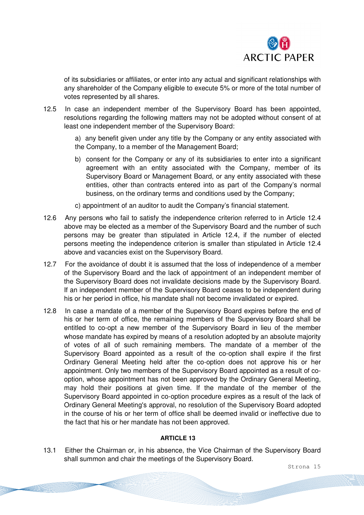

of its subsidiaries or affiliates, or enter into any actual and significant relationships with any shareholder of the Company eligible to execute 5% or more of the total number of votes represented by all shares.

12.5 In case an independent member of the Supervisory Board has been appointed, resolutions regarding the following matters may not be adopted without consent of at least one independent member of the Supervisory Board:

> a) any benefit given under any title by the Company or any entity associated with the Company, to a member of the Management Board;

- b) consent for the Company or any of its subsidiaries to enter into a significant agreement with an entity associated with the Company, member of its Supervisory Board or Management Board, or any entity associated with these entities, other than contracts entered into as part of the Company's normal business, on the ordinary terms and conditions used by the Company;
- c) appointment of an auditor to audit the Company's financial statement.
- 12.6 Any persons who fail to satisfy the independence criterion referred to in Article 12.4 above may be elected as a member of the Supervisory Board and the number of such persons may be greater than stipulated in Article 12.4, if the number of elected persons meeting the independence criterion is smaller than stipulated in Article 12.4 above and vacancies exist on the Supervisory Board.
- 12.7 For the avoidance of doubt it is assumed that the loss of independence of a member of the Supervisory Board and the lack of appointment of an independent member of the Supervisory Board does not invalidate decisions made by the Supervisory Board. If an independent member of the Supervisory Board ceases to be independent during his or her period in office, his mandate shall not become invalidated or expired.
- 12.8 In case a mandate of a member of the Supervisory Board expires before the end of his or her term of office, the remaining members of the Supervisory Board shall be entitled to co-opt a new member of the Supervisory Board in lieu of the member whose mandate has expired by means of a resolution adopted by an absolute majority of votes of all of such remaining members. The mandate of a member of the Supervisory Board appointed as a result of the co-option shall expire if the first Ordinary General Meeting held after the co-option does not approve his or her appointment. Only two members of the Supervisory Board appointed as a result of cooption, whose appointment has not been approved by the Ordinary General Meeting, may hold their positions at given time. If the mandate of the member of the Supervisory Board appointed in co-option procedure expires as a result of the lack of Ordinary General Meeting's approval, no resolution of the Supervisory Board adopted in the course of his or her term of office shall be deemed invalid or ineffective due to the fact that his or her mandate has not been approved.

### **ARTICLE 13**

13.1 Either the Chairman or, in his absence, the Vice Chairman of the Supervisory Board shall summon and chair the meetings of the Supervisory Board.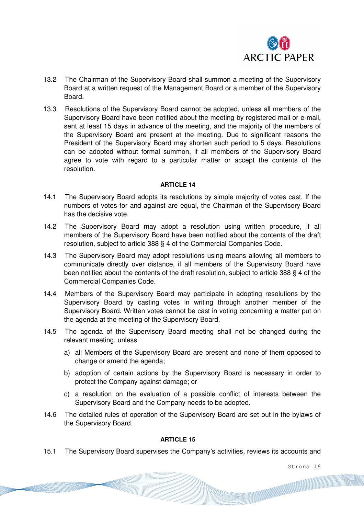

- 13.2 The Chairman of the Supervisory Board shall summon a meeting of the Supervisory Board at a written request of the Management Board or a member of the Supervisory Board.
- 13.3 Resolutions of the Supervisory Board cannot be adopted, unless all members of the Supervisory Board have been notified about the meeting by registered mail or e-mail, sent at least 15 days in advance of the meeting, and the majority of the members of the Supervisory Board are present at the meeting. Due to significant reasons the President of the Supervisory Board may shorten such period to 5 days. Resolutions can be adopted without formal summon, if all members of the Supervisory Board agree to vote with regard to a particular matter or accept the contents of the resolution.

#### **ARTICLE 14**

- 14.1 The Supervisory Board adopts its resolutions by simple majority of votes cast. If the numbers of votes for and against are equal, the Chairman of the Supervisory Board has the decisive vote.
- 14.2 The Supervisory Board may adopt a resolution using written procedure, if all members of the Supervisory Board have been notified about the contents of the draft resolution, subject to article 388 § 4 of the Commercial Companies Code.
- 14.3 The Supervisory Board may adopt resolutions using means allowing all members to communicate directly over distance, if all members of the Supervisory Board have been notified about the contents of the draft resolution, subject to article 388 § 4 of the Commercial Companies Code.
- 14.4 Members of the Supervisory Board may participate in adopting resolutions by the Supervisory Board by casting votes in writing through another member of the Supervisory Board. Written votes cannot be cast in voting concerning a matter put on the agenda at the meeting of the Supervisory Board.
- 14.5 The agenda of the Supervisory Board meeting shall not be changed during the relevant meeting, unless
	- a) all Members of the Supervisory Board are present and none of them opposed to change or amend the agenda;
	- b) adoption of certain actions by the Supervisory Board is necessary in order to protect the Company against damage; or
	- c) a resolution on the evaluation of a possible conflict of interests between the Supervisory Board and the Company needs to be adopted.
- 14.6 The detailed rules of operation of the Supervisory Board are set out in the bylaws of the Supervisory Board.

### **ARTICLE 15**

15.1 The Supervisory Board supervises the Company's activities, reviews its accounts and

Strona 16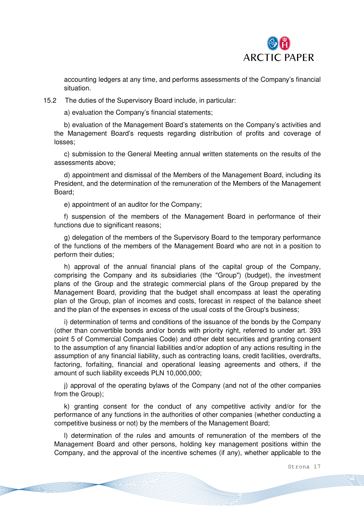

accounting ledgers at any time, and performs assessments of the Company's financial situation.

15.2 The duties of the Supervisory Board include, in particular:

a) evaluation the Company's financial statements;

b) evaluation of the Management Board's statements on the Company's activities and the Management Board's requests regarding distribution of profits and coverage of losses;

c) submission to the General Meeting annual written statements on the results of the assessments above;

d) appointment and dismissal of the Members of the Management Board, including its President, and the determination of the remuneration of the Members of the Management Board;

e) appointment of an auditor for the Company;

f) suspension of the members of the Management Board in performance of their functions due to significant reasons:

g) delegation of the members of the Supervisory Board to the temporary performance of the functions of the members of the Management Board who are not in a position to perform their duties;

h) approval of the annual financial plans of the capital group of the Company, comprising the Company and its subsidiaries (the "Group") (budget), the investment plans of the Group and the strategic commercial plans of the Group prepared by the Management Board, providing that the budget shall encompass at least the operating plan of the Group, plan of incomes and costs, forecast in respect of the balance sheet and the plan of the expenses in excess of the usual costs of the Group's business;

i) determination of terms and conditions of the issuance of the bonds by the Company (other than convertible bonds and/or bonds with priority right, referred to under art. 393 point 5 of Commercial Companies Code) and other debt securities and granting consent to the assumption of any financial liabilities and/or adoption of any actions resulting in the assumption of any financial liability, such as contracting loans, credit facilities, overdrafts, factoring, forfaiting, financial and operational leasing agreements and others, if the amount of such liability exceeds PLN 10,000,000;

j) approval of the operating bylaws of the Company (and not of the other companies from the Group);

k) granting consent for the conduct of any competitive activity and/or for the performance of any functions in the authorities of other companies (whether conducting a competitive business or not) by the members of the Management Board;

l) determination of the rules and amounts of remuneration of the members of the Management Board and other persons, holding key management positions within the Company, and the approval of the incentive schemes (if any), whether applicable to the

Strona 17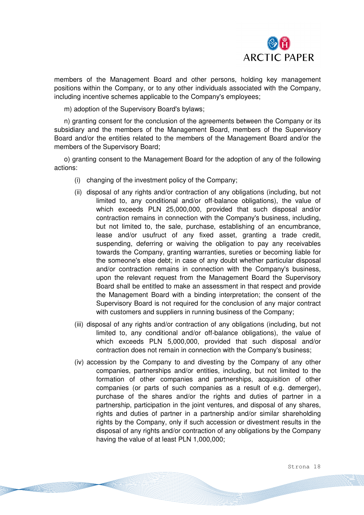

members of the Management Board and other persons, holding key management positions within the Company, or to any other individuals associated with the Company, including incentive schemes applicable to the Company's employees;

m) adoption of the Supervisory Board's bylaws;

n) granting consent for the conclusion of the agreements between the Company or its subsidiary and the members of the Management Board, members of the Supervisory Board and/or the entities related to the members of the Management Board and/or the members of the Supervisory Board;

o) granting consent to the Management Board for the adoption of any of the following actions:

- (i) changing of the investment policy of the Company;
- (ii) disposal of any rights and/or contraction of any obligations (including, but not limited to, any conditional and/or off-balance obligations), the value of which exceeds PLN 25,000,000, provided that such disposal and/or contraction remains in connection with the Company's business, including, but not limited to, the sale, purchase, establishing of an encumbrance, lease and/or usufruct of any fixed asset, granting a trade credit, suspending, deferring or waiving the obligation to pay any receivables towards the Company, granting warranties, sureties or becoming liable for the someone's else debt; in case of any doubt whether particular disposal and/or contraction remains in connection with the Company's business, upon the relevant request from the Management Board the Supervisory Board shall be entitled to make an assessment in that respect and provide the Management Board with a binding interpretation; the consent of the Supervisory Board is not required for the conclusion of any major contract with customers and suppliers in running business of the Company;
- (iii) disposal of any rights and/or contraction of any obligations (including, but not limited to, any conditional and/or off-balance obligations), the value of which exceeds PLN 5,000,000, provided that such disposal and/or contraction does not remain in connection with the Company's business;
- (iv) accession by the Company to and divesting by the Company of any other companies, partnerships and/or entities, including, but not limited to the formation of other companies and partnerships, acquisition of other companies (or parts of such companies as a result of e.g. demerger), purchase of the shares and/or the rights and duties of partner in a partnership, participation in the joint ventures, and disposal of any shares, rights and duties of partner in a partnership and/or similar shareholding rights by the Company, only if such accession or divestment results in the disposal of any rights and/or contraction of any obligations by the Company having the value of at least PLN 1,000,000;

Strona 18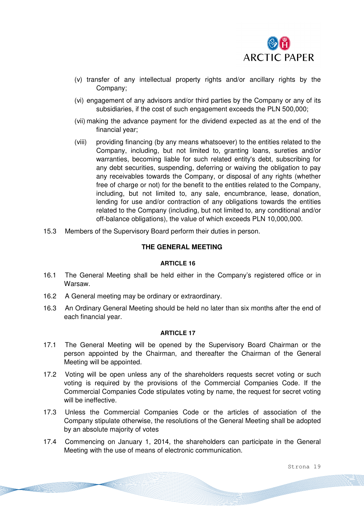

- (v) transfer of any intellectual property rights and/or ancillary rights by the Company;
- (vi) engagement of any advisors and/or third parties by the Company or any of its subsidiaries, if the cost of such engagement exceeds the PLN 500,000;
- (vii) making the advance payment for the dividend expected as at the end of the financial year;
- (viii) providing financing (by any means whatsoever) to the entities related to the Company, including, but not limited to, granting loans, sureties and/or warranties, becoming liable for such related entity's debt, subscribing for any debt securities, suspending, deferring or waiving the obligation to pay any receivables towards the Company, or disposal of any rights (whether free of charge or not) for the benefit to the entities related to the Company, including, but not limited to, any sale, encumbrance, lease, donation, lending for use and/or contraction of any obligations towards the entities related to the Company (including, but not limited to, any conditional and/or off-balance obligations), the value of which exceeds PLN 10,000,000.
- 15.3 Members of the Supervisory Board perform their duties in person.

### **THE GENERAL MEETING**

#### **ARTICLE 16**

- 16.1 The General Meeting shall be held either in the Company's registered office or in Warsaw.
- 16.2 A General meeting may be ordinary or extraordinary.
- 16.3 An Ordinary General Meeting should be held no later than six months after the end of each financial year.

#### **ARTICLE 17**

- 17.1 The General Meeting will be opened by the Supervisory Board Chairman or the person appointed by the Chairman, and thereafter the Chairman of the General Meeting will be appointed.
- 17.2 Voting will be open unless any of the shareholders requests secret voting or such voting is required by the provisions of the Commercial Companies Code. If the Commercial Companies Code stipulates voting by name, the request for secret voting will be ineffective.
- 17.3 Unless the Commercial Companies Code or the articles of association of the Company stipulate otherwise, the resolutions of the General Meeting shall be adopted by an absolute majority of votes
- 17.4 Commencing on January 1, 2014, the shareholders can participate in the General Meeting with the use of means of electronic communication.

Strona 19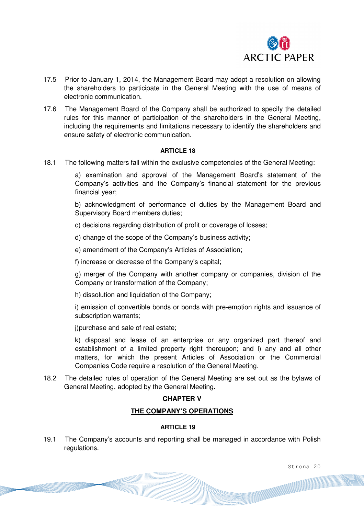

- 17.5 Prior to January 1, 2014, the Management Board may adopt a resolution on allowing the shareholders to participate in the General Meeting with the use of means of electronic communication.
- 17.6 The Management Board of the Company shall be authorized to specify the detailed rules for this manner of participation of the shareholders in the General Meeting, including the requirements and limitations necessary to identify the shareholders and ensure safety of electronic communication.

#### **ARTICLE 18**

18.1 The following matters fall within the exclusive competencies of the General Meeting:

a) examination and approval of the Management Board's statement of the Company's activities and the Company's financial statement for the previous financial year;

b) acknowledgment of performance of duties by the Management Board and Supervisory Board members duties;

c) decisions regarding distribution of profit or coverage of losses;

d) change of the scope of the Company's business activity;

e) amendment of the Company's Articles of Association;

f) increase or decrease of the Company's capital;

g) merger of the Company with another company or companies, division of the Company or transformation of the Company;

h) dissolution and liquidation of the Company;

i) emission of convertible bonds or bonds with pre-emption rights and issuance of subscription warrants;

j)purchase and sale of real estate;

k) disposal and lease of an enterprise or any organized part thereof and establishment of a limited property right thereupon; and l) any and all other matters, for which the present Articles of Association or the Commercial Companies Code require a resolution of the General Meeting.

18.2 The detailed rules of operation of the General Meeting are set out as the bylaws of General Meeting, adopted by the General Meeting.

# **CHAPTER V**

## **THE COMPANY'S OPERATIONS**

# **ARTICLE 19**

19.1 The Company's accounts and reporting shall be managed in accordance with Polish regulations.

Strona 20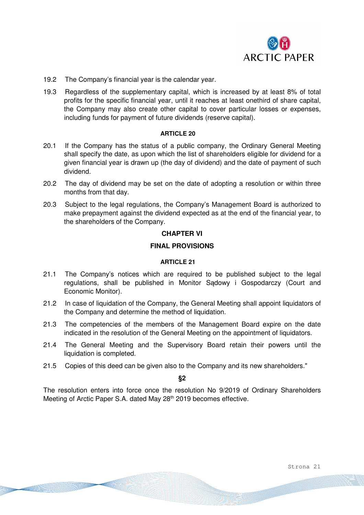

- 19.2 The Company's financial year is the calendar year.
- 19.3 Regardless of the supplementary capital, which is increased by at least 8% of total profits for the specific financial year, until it reaches at least onethird of share capital, the Company may also create other capital to cover particular losses or expenses, including funds for payment of future dividends (reserve capital).

#### **ARTICLE 20**

- 20.1 If the Company has the status of a public company, the Ordinary General Meeting shall specify the date, as upon which the list of shareholders eligible for dividend for a given financial year is drawn up (the day of dividend) and the date of payment of such dividend.
- 20.2 The day of dividend may be set on the date of adopting a resolution or within three months from that day.
- 20.3 Subject to the legal regulations, the Company's Management Board is authorized to make prepayment against the dividend expected as at the end of the financial year, to the shareholders of the Company.

#### **CHAPTER VI**

### **FINAL PROVISIONS**

#### **ARTICLE 21**

- 21.1 The Company's notices which are required to be published subject to the legal regulations, shall be published in Monitor Sądowy i Gospodarczy (Court and Economic Monitor).
- 21.2 In case of liquidation of the Company, the General Meeting shall appoint liquidators of the Company and determine the method of liquidation.
- 21.3 The competencies of the members of the Management Board expire on the date indicated in the resolution of the General Meeting on the appointment of liquidators.
- 21.4 The General Meeting and the Supervisory Board retain their powers until the liquidation is completed.
- 21.5 Copies of this deed can be given also to the Company and its new shareholders."

**§2** 

The resolution enters into force once the resolution No 9/2019 of Ordinary Shareholders Meeting of Arctic Paper S.A. dated May 28<sup>th</sup> 2019 becomes effective.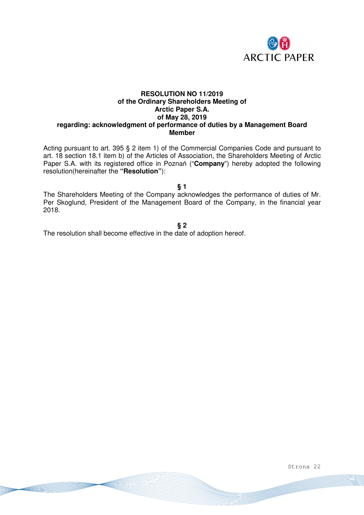

### **RESOLUTION NO 11/2019 of the Ordinary Shareholders Meeting of Arctic Paper S.A. of May 28, 2019 regarding: acknowledgment of performance of duties by a Management Board Member**

Acting pursuant to art. 395 § 2 item 1) of the Commercial Companies Code and pursuant to art. 18 section 18.1 item b) of the Articles of Association, the Shareholders Meeting of Arctic Paper S.A. with its registered office in Poznań ("**Company**") hereby adopted the following resolution(hereinafter the **"Resolution"**):

**§ 1** 

The Shareholders Meeting of the Company acknowledges the performance of duties of Mr. Per Skoglund, President of the Management Board of the Company, in the financial year 2018.

**§ 2** 

The resolution shall become effective in the date of adoption hereof.

Strona 22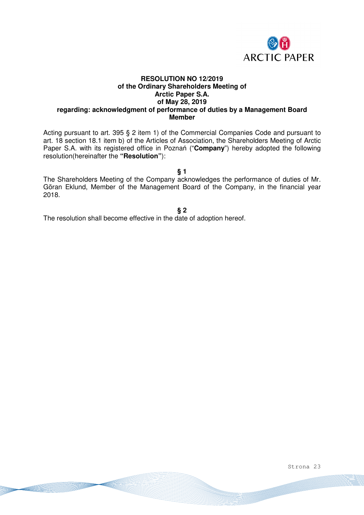

### **RESOLUTION NO 12/2019 of the Ordinary Shareholders Meeting of Arctic Paper S.A. of May 28, 2019 regarding: acknowledgment of performance of duties by a Management Board Member**

Acting pursuant to art. 395 § 2 item 1) of the Commercial Companies Code and pursuant to art. 18 section 18.1 item b) of the Articles of Association, the Shareholders Meeting of Arctic Paper S.A. with its registered office in Poznań ("**Company**") hereby adopted the following resolution(hereinafter the **"Resolution"**):

**§ 1** 

The Shareholders Meeting of the Company acknowledges the performance of duties of Mr. Göran Eklund, Member of the Management Board of the Company, in the financial year 2018.

**§ 2** 

The resolution shall become effective in the date of adoption hereof.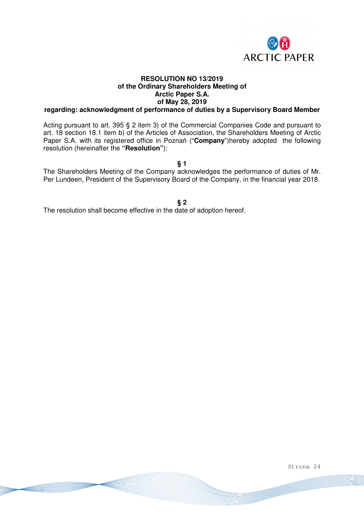

# **RESOLUTION NO 13/2019 of the Ordinary Shareholders Meeting of Arctic Paper S.A. of May 28, 2019**

# **regarding: acknowledgment of performance of duties by a Supervisory Board Member**

Acting pursuant to art. 395 § 2 item 3) of the Commercial Companies Code and pursuant to art. 18 section 18.1 item b) of the Articles of Association, the Shareholders Meeting of Arctic Paper S.A. with its registered office in Poznań ("**Company**")hereby adopted the following resolution (hereinafter the **"Resolution"**):

**§ 1** 

The Shareholders Meeting of the Company acknowledges the performance of duties of Mr. Per Lundeen, President of the Supervisory Board of the Company, in the financial year 2018.

**§ 2** 

The resolution shall become effective in the date of adoption hereof.

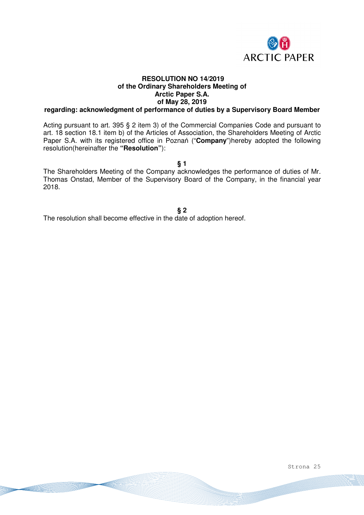

# **RESOLUTION NO 14/2019 of the Ordinary Shareholders Meeting of Arctic Paper S.A. of May 28, 2019**

# **regarding: acknowledgment of performance of duties by a Supervisory Board Member**

Acting pursuant to art. 395 § 2 item 3) of the Commercial Companies Code and pursuant to art. 18 section 18.1 item b) of the Articles of Association, the Shareholders Meeting of Arctic Paper S.A. with its registered office in Poznań ("**Company**")hereby adopted the following resolution(hereinafter the **"Resolution"**):

**§ 1** 

The Shareholders Meeting of the Company acknowledges the performance of duties of Mr. Thomas Onstad, Member of the Supervisory Board of the Company, in the financial year 2018.

**§ 2** 

The resolution shall become effective in the date of adoption hereof.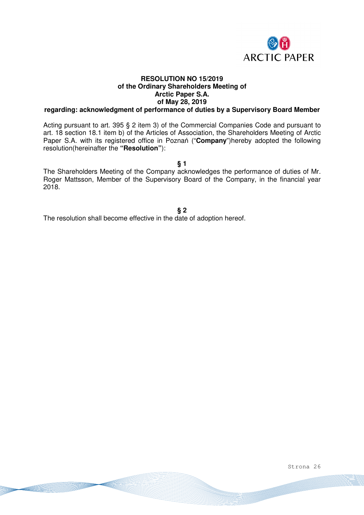

# **RESOLUTION NO 15/2019 of the Ordinary Shareholders Meeting of Arctic Paper S.A. of May 28, 2019**

# **regarding: acknowledgment of performance of duties by a Supervisory Board Member**

Acting pursuant to art. 395 § 2 item 3) of the Commercial Companies Code and pursuant to art. 18 section 18.1 item b) of the Articles of Association, the Shareholders Meeting of Arctic Paper S.A. with its registered office in Poznań ("**Company**")hereby adopted the following resolution(hereinafter the **"Resolution"**):

**§ 1** 

The Shareholders Meeting of the Company acknowledges the performance of duties of Mr. Roger Mattsson, Member of the Supervisory Board of the Company, in the financial year 2018.

**§ 2** 

The resolution shall become effective in the date of adoption hereof.

Strona 26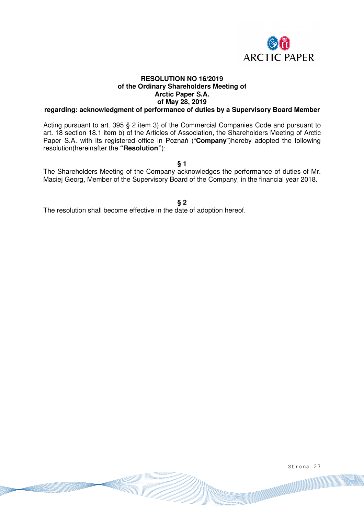

# **RESOLUTION NO 16/2019 of the Ordinary Shareholders Meeting of Arctic Paper S.A. of May 28, 2019**

# **regarding: acknowledgment of performance of duties by a Supervisory Board Member**

Acting pursuant to art. 395 § 2 item 3) of the Commercial Companies Code and pursuant to art. 18 section 18.1 item b) of the Articles of Association, the Shareholders Meeting of Arctic Paper S.A. with its registered office in Poznań ("**Company**")hereby adopted the following resolution(hereinafter the **"Resolution"**):

**§ 1** 

The Shareholders Meeting of the Company acknowledges the performance of duties of Mr. Maciej Georg, Member of the Supervisory Board of the Company, in the financial year 2018.

**§ 2** 

The resolution shall become effective in the date of adoption hereof.

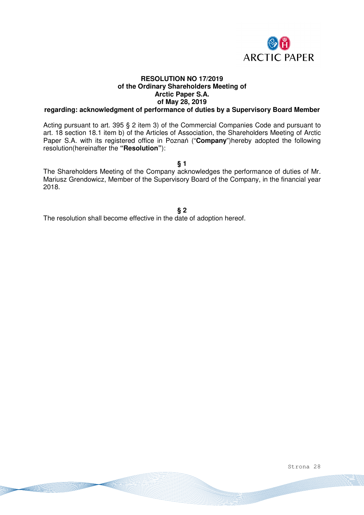

# **RESOLUTION NO 17/2019 of the Ordinary Shareholders Meeting of Arctic Paper S.A. of May 28, 2019**

# **regarding: acknowledgment of performance of duties by a Supervisory Board Member**

Acting pursuant to art. 395 § 2 item 3) of the Commercial Companies Code and pursuant to art. 18 section 18.1 item b) of the Articles of Association, the Shareholders Meeting of Arctic Paper S.A. with its registered office in Poznań ("**Company**")hereby adopted the following resolution(hereinafter the **"Resolution"**):

**§ 1** 

The Shareholders Meeting of the Company acknowledges the performance of duties of Mr. Mariusz Grendowicz, Member of the Supervisory Board of the Company, in the financial year 2018.

**§ 2** 

The resolution shall become effective in the date of adoption hereof.

Strona 28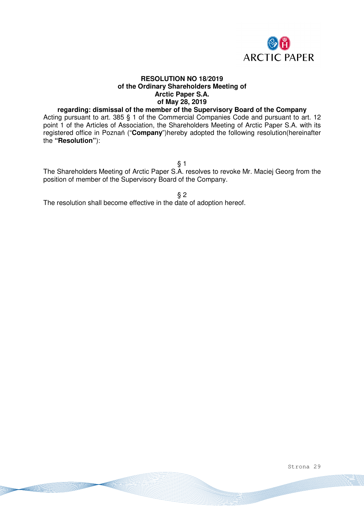

## **RESOLUTION NO 18/2019 of the Ordinary Shareholders Meeting of Arctic Paper S.A. of May 28, 2019**

## **regarding: dismissal of the member of the Supervisory Board of the Company**

Acting pursuant to art. 385 § 1 of the Commercial Companies Code and pursuant to art. 12 point 1 of the Articles of Association, the Shareholders Meeting of Arctic Paper S.A. with its registered office in Poznań ("**Company**")hereby adopted the following resolution(hereinafter the **"Resolution"**):

 $§ 1$ 

The Shareholders Meeting of Arctic Paper S.A. resolves to revoke Mr. Maciej Georg from the position of member of the Supervisory Board of the Company.

§ 2

The resolution shall become effective in the date of adoption hereof.